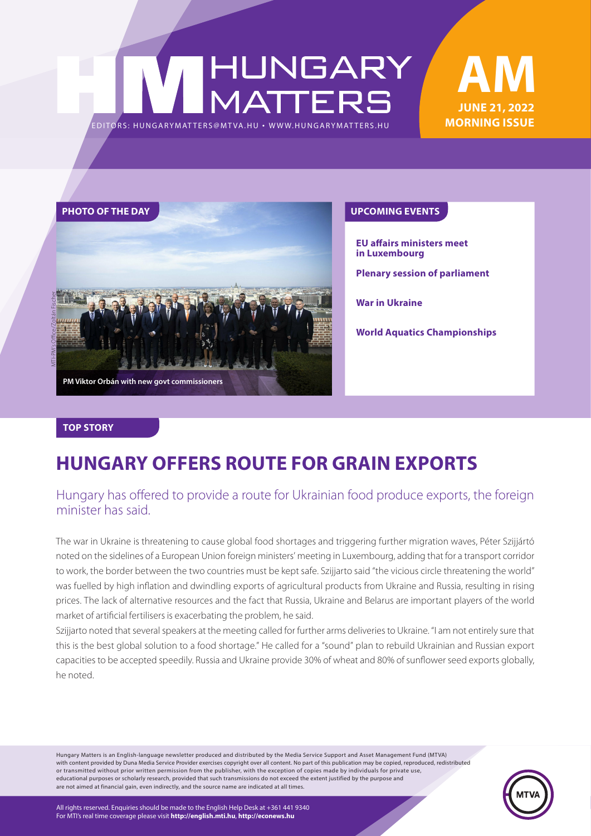### HUNGARY<br>MATTERS EDITORS: HUNGARYMAT TERS@MT VA.HU ¬ [WWW.HUNGARYMAT TERS.HU](http://hungarymatters.hu/)





**EU affairs ministers meet in Luxembourg**

**Plenary session of parliament**

**War in Ukraine**

**World Aquatics Championships**

#### **TOP STORY**

### **HUNGARY OFFERS ROUTE FOR GRAIN EXPORTS**

### Hungary has offered to provide a route for Ukrainian food produce exports, the foreign minister has said.

The war in Ukraine is threatening to cause global food shortages and triggering further migration waves, Péter Szijjártó noted on the sidelines of a European Union foreign ministers' meeting in Luxembourg, adding that for a transport corridor to work, the border between the two countries must be kept safe. Szijjarto said "the vicious circle threatening the world" was fuelled by high inflation and dwindling exports of agricultural products from Ukraine and Russia, resulting in rising prices. The lack of alternative resources and the fact that Russia, Ukraine and Belarus are important players of the world market of artificial fertilisers is exacerbating the problem, he said.

Szijjarto noted that several speakers at the meeting called for further arms deliveries to Ukraine. "I am not entirely sure that this is the best global solution to a food shortage." He called for a "sound" plan to rebuild Ukrainian and Russian export capacities to be accepted speedily. Russia and Ukraine provide 30% of wheat and 80% of sunflower seed exports globally, he noted.

Hungary Matters is an English-language newsletter produced and distributed by the Media Service Support and Asset Management Fund (MTVA) with content provided by Duna Media Service Provider exercises copyright over all content. No part of this publication may be copied, reproduced, redistributed or transmitted without prior written permission from the publisher, with the exception of copies made by individuals for private use, educational purposes or scholarly research, provided that such transmissions do not exceed the extent justified by the purpose and are not aimed at financial gain, even indirectly, and the source name are indicated at all times.

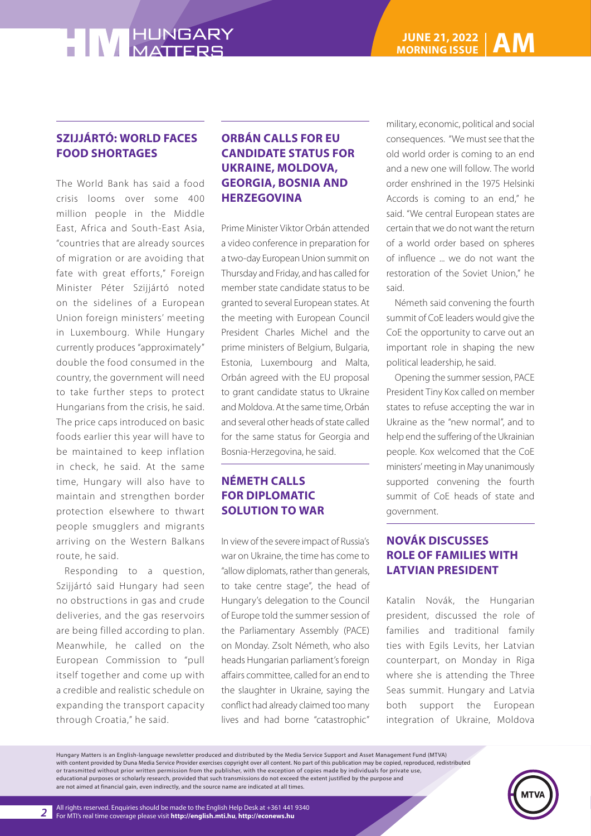### **SZIJJÁRTÓ: WORLD FACES FOOD SHORTAGES**

The World Bank has said a food crisis looms over some 400 million people in the Middle East, Africa and South-East Asia, "countries that are already sources of migration or are avoiding that fate with great efforts," Foreign Minister Péter Szijjártó noted on the sidelines of a European Union foreign ministers' meeting in Luxembourg. While Hungary currently produces "approximately" double the food consumed in the country, the government will need to take further steps to protect Hungarians from the crisis, he said. The price caps introduced on basic foods earlier this year will have to be maintained to keep inflation in check, he said. At the same time, Hungary will also have to maintain and strengthen border protection elsewhere to thwart people smugglers and migrants arriving on the Western Balkans route, he said.

Responding to a question, Szijjártó said Hungary had seen no obstructions in gas and crude deliveries, and the gas reservoirs are being filled according to plan. Meanwhile, he called on the European Commission to "pull itself together and come up with a credible and realistic schedule on expanding the transport capacity through Croatia," he said.

### **ORBÁN CALLS FOR EU CANDIDATE STATUS FOR UKRAINE, MOLDOVA, GEORGIA, BOSNIA AND HERZEGOVINA**

Prime Minister Viktor Orbán attended a video conference in preparation for a two-day European Union summit on Thursday and Friday, and has called for member state candidate status to be granted to several European states. At the meeting with European Council President Charles Michel and the prime ministers of Belgium, Bulgaria, Estonia, Luxembourg and Malta, Orbán agreed with the EU proposal to grant candidate status to Ukraine and Moldova. At the same time, Orbán and several other heads of state called for the same status for Georgia and Bosnia-Herzegovina, he said.

### **NÉMETH CALLS FOR DIPLOMATIC SOLUTION TO WAR**

In view of the severe impact of Russia's war on Ukraine, the time has come to "allow diplomats, rather than generals, to take centre stage", the head of Hungary's delegation to the Council of Europe told the summer session of the Parliamentary Assembly (PACE) on Monday. Zsolt Németh, who also heads Hungarian parliament's foreign affairs committee, called for an end to the slaughter in Ukraine, saying the conflict had already claimed too many lives and had borne "catastrophic"

military, economic, political and social consequences. "We must see that the old world order is coming to an end and a new one will follow. The world order enshrined in the 1975 Helsinki Accords is coming to an end," he said. "We central European states are certain that we do not want the return of a world order based on spheres of influence ... we do not want the restoration of the Soviet Union," he said.

Németh said convening the fourth summit of CoE leaders would give the CoE the opportunity to carve out an important role in shaping the new political leadership, he said.

Opening the summer session, PACE President Tiny Kox called on member states to refuse accepting the war in Ukraine as the "new normal", and to help end the suffering of the Ukrainian people. Kox welcomed that the CoE ministers' meeting in May unanimously supported convening the fourth summit of CoE heads of state and government.

### **NOVÁK DISCUSSES ROLE OF FAMILIES WITH LATVIAN PRESIDENT**

Katalin Novák, the Hungarian president, discussed the role of families and traditional family ties with Egils Levits, her Latvian counterpart, on Monday in Riga where she is attending the Three Seas summit. Hungary and Latvia both support the European integration of Ukraine, Moldova

Hungary Matters is an English-language newsletter produced and distributed by the Media Service Support and Asset Management Fund (MTVA) with content provided by Duna Media Service Provider exercises copyright over all content. No part of this publication may be copied, reproduced, redistributed or transmitted without prior written permission from the publisher, with the exception of copies made by individuals for private use, educational purposes or scholarly research, provided that such transmissions do not exceed the extent justified by the purpose and are not aimed at financial gain, even indirectly, and the source name are indicated at all times.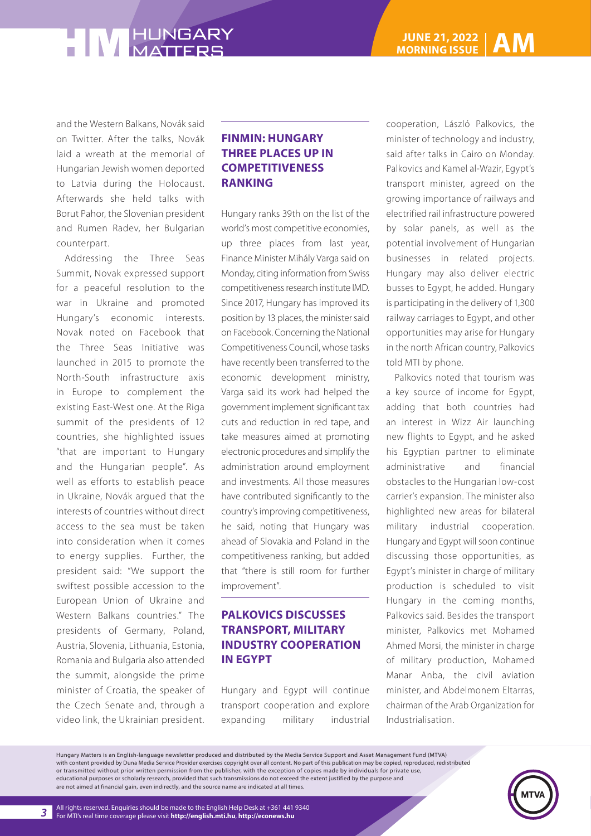and the Western Balkans, Novák said on Twitter. After the talks, Novák laid a wreath at the memorial of Hungarian Jewish women deported to Latvia during the Holocaust. Afterwards she held talks with Borut Pahor, the Slovenian president and Rumen Radev, her Bulgarian counterpart.

Addressing the Three Seas Summit, Novak expressed support for a peaceful resolution to the war in Ukraine and promoted Hungary's economic interests. Novak noted on Facebook that the Three Seas Initiative was launched in 2015 to promote the North-South infrastructure axis in Europe to complement the existing East-West one. At the Riga summit of the presidents of 12 countries, she highlighted issues "that are important to Hungary and the Hungarian people". As well as efforts to establish peace in Ukraine, Novák argued that the interests of countries without direct access to the sea must be taken into consideration when it comes to energy supplies. Further, the president said: "We support the swiftest possible accession to the European Union of Ukraine and Western Balkans countries." The presidents of Germany, Poland, Austria, Slovenia, Lithuania, Estonia, Romania and Bulgaria also attended the summit, alongside the prime minister of Croatia, the speaker of the Czech Senate and, through a video link, the Ukrainian president.

### **FINMIN: HUNGARY THREE PLACES UP IN COMPETITIVENESS RANKING**

Hungary ranks 39th on the list of the world's most competitive economies, up three places from last year, Finance Minister Mihály Varga said on Monday, citing information from Swiss competitiveness research institute IMD. Since 2017, Hungary has improved its position by 13 places, the minister said on Facebook. Concerning the National Competitiveness Council, whose tasks have recently been transferred to the economic development ministry, Varga said its work had helped the government implement significant tax cuts and reduction in red tape, and take measures aimed at promoting electronic procedures and simplify the administration around employment and investments. All those measures have contributed significantly to the country's improving competitiveness, he said, noting that Hungary was ahead of Slovakia and Poland in the competitiveness ranking, but added that "there is still room for further improvement".

### **PALKOVICS DISCUSSES TRANSPORT, MILITARY INDUSTRY COOPERATION IN EGYPT**

Hungary and Egypt will continue transport cooperation and explore expanding military industrial cooperation, László Palkovics, the minister of technology and industry, said after talks in Cairo on Monday. Palkovics and Kamel al-Wazir, Egypt's transport minister, agreed on the growing importance of railways and electrified rail infrastructure powered by solar panels, as well as the potential involvement of Hungarian businesses in related projects. Hungary may also deliver electric busses to Egypt, he added. Hungary is participating in the delivery of 1,300 railway carriages to Egypt, and other opportunities may arise for Hungary in the north African country, Palkovics told MTI by phone.

Palkovics noted that tourism was a key source of income for Egypt, adding that both countries had an interest in Wizz Air launching new flights to Egypt, and he asked his Egyptian partner to eliminate administrative and financial obstacles to the Hungarian low-cost carrier's expansion. The minister also highlighted new areas for bilateral military industrial cooperation. Hungary and Egypt will soon continue discussing those opportunities, as Egypt's minister in charge of military production is scheduled to visit Hungary in the coming months, Palkovics said. Besides the transport minister, Palkovics met Mohamed Ahmed Morsi, the minister in charge of military production, Mohamed Manar Anba, the civil aviation minister, and Abdelmonem Eltarras, chairman of the Arab Organization for Industrialisation.

Hungary Matters is an English-language newsletter produced and distributed by the Media Service Support and Asset Management Fund (MTVA) with content provided by Duna Media Service Provider exercises copyright over all content. No part of this publication may be copied, reproduced, redistributed or transmitted without prior written permission from the publisher, with the exception of copies made by individuals for private use, educational purposes or scholarly research, provided that such transmissions do not exceed the extent justified by the purpose and are not aimed at financial gain, even indirectly, and the source name are indicated at all times.

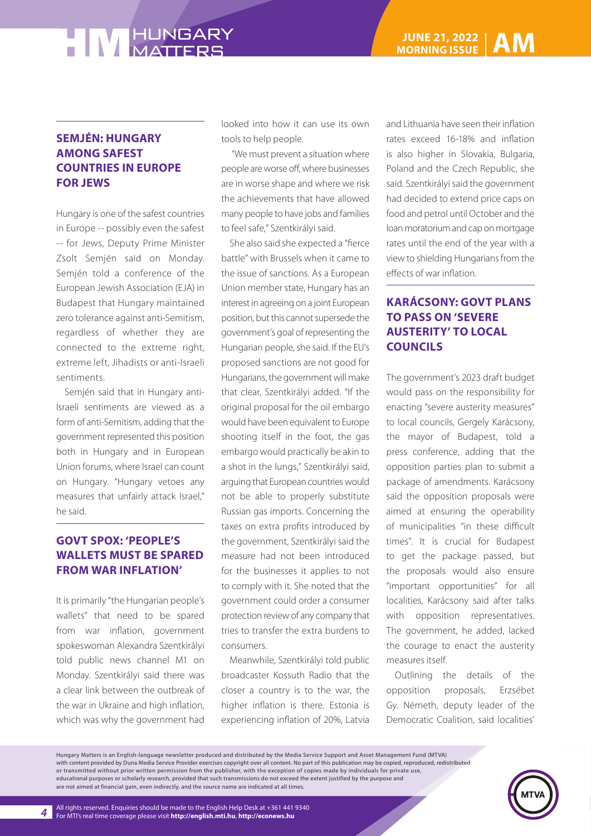### **SEMJÉN: HUNGARY AMONG SAFEST COUNTRIES IN EUROPE FOR JEWS**

Hungary is one of the safest countries in Europe -- possibly even the safest -- for Jews, Deputy Prime Minister Zsolt Semjén said on Monday. Semjén told a conference of the European Jewish Association (EJA) in Budapest that Hungary maintained zero tolerance against anti-Semitism, regardless of whether they are connected to the extreme right, extreme left, Jihadists or anti-Israeli sentiments.

Semjén said that in Hungary anti-Israeli sentiments are viewed as a form of anti-Semitism, adding that the government represented this position both in Hungary and in European Union forums, where Israel can count on Hungary. "Hungary vetoes any measures that unfairly attack Israel," he said.

### **GOVT SPOX: 'PEOPLE'S WALLETS MUST BE SPARED FROM WAR INFLATION'**

It is primarily "the Hungarian people's wallets" that need to be spared from war inflation, government spokeswoman Alexandra Szentkirályi told public news channel M1 on Monday. Szentkirályi said there was a clear link between the outbreak of the war in Ukraine and high inflation, which was why the government had

looked into how it can use its own tools to help people.

 "We must prevent a situation where people are worse off, where businesses are in worse shape and where we risk the achievements that have allowed many people to have jobs and families to feel safe," Szentkirályi said.

She also said she expected a "fierce battle" with Brussels when it came to the issue of sanctions. As a European Union member state, Hungary has an interest in agreeing on a joint European position, but this cannot supersede the government's goal of representing the Hungarian people, she said. If the EU's proposed sanctions are not good for Hungarians, the government will make that clear, Szentkirályi added. "If the original proposal for the oil embargo would have been equivalent to Europe shooting itself in the foot, the gas embargo would practically be akin to a shot in the lungs," Szentkirályi said, arguing that European countries would not be able to properly substitute Russian gas imports. Concerning the taxes on extra profits introduced by the government, Szentkirályi said the measure had not been introduced for the businesses it applies to not to comply with it. She noted that the government could order a consumer protection review of any company that tries to transfer the extra burdens to consumers.

Meanwhile, Szentkirályi told public broadcaster Kossuth Radio that the closer a country is to the war, the higher inflation is there. Estonia is experiencing inflation of 20%, Latvia and Lithuania have seen their inflation rates exceed 16-18% and inflation is also higher in Slovakia, Bulgaria, Poland and the Czech Republic, she said. Szentkirályi said the government had decided to extend price caps on food and petrol until October and the loan moratorium and cap on mortgage rates until the end of the year with a view to shielding Hungarians from the effects of war inflation.

### **KARÁCSONY: GOVT PLANS TO PASS ON 'SEVERE AUSTERITY' TO LOCAL COUNCILS**

The government's 2023 draft budget would pass on the responsibility for enacting "severe austerity measures" to local councils, Gergely Karácsony, the mayor of Budapest, told a press conference, adding that the opposition parties plan to submit a package of amendments. Karácsony said the opposition proposals were aimed at ensuring the operability of municipalities "in these difficult times". It is crucial for Budapest to get the package passed, but the proposals would also ensure "important opportunities" for all localities, Karácsony said after talks with opposition representatives. The government, he added, lacked the courage to enact the austerity measures itself.

Outlining the details of the opposition proposals, Erzsébet Gy. Németh, deputy leader of the Democratic Coalition, said localities'

Hungary Matters is an English-language newsletter produced and distributed by the Media Service Support and Asset Management Fund (MTVA) with content provided by Duna Media Service Provider exercises copyright over all content. No part of this publication may be copied, reproduced, redistributed or transmitted without prior written permission from the publisher, with the exception of copies made by individuals for private use, educational purposes or scholarly research, provided that such transmissions do not exceed the extent justified by the purpose and are not aimed at financial gain, even indirectly, and the source name are indicated at all times.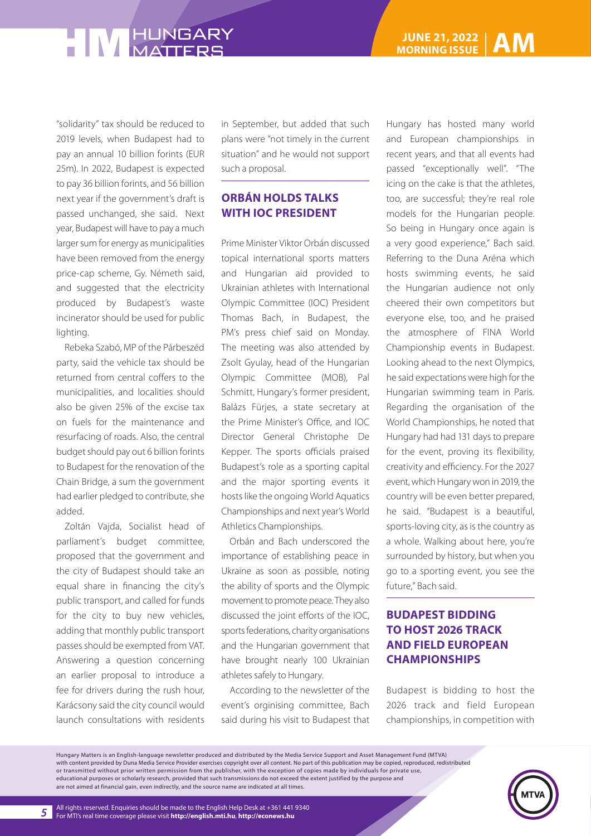"solidarity" tax should be reduced to 2019 levels, when Budapest had to pay an annual 10 billion forints (EUR 25m). In 2022, Budapest is expected to pay 36 billion forints, and 56 billion next year if the government's draft is passed unchanged, she said. Next year, Budapest will have to pay a much larger sum for energy as municipalities have been removed from the energy price-cap scheme, Gy. Németh said, and suggested that the electricity produced by Budapest's waste incinerator should be used for public lighting.

Rebeka Szabó, MP of the Párbeszéd party, said the vehicle tax should be returned from central coffers to the municipalities, and localities should also be given 25% of the excise tax on fuels for the maintenance and resurfacing of roads. Also, the central budget should pay out 6 billion forints to Budapest for the renovation of the Chain Bridge, a sum the government had earlier pledged to contribute, she added.

Zoltán Vajda, Socialist head of parliament's budget committee, proposed that the government and the city of Budapest should take an equal share in financing the city's public transport, and called for funds for the city to buy new vehicles, adding that monthly public transport passes should be exempted from VAT. Answering a question concerning an earlier proposal to introduce a fee for drivers during the rush hour, Karácsony said the city council would launch consultations with residents

in September, but added that such plans were "not timely in the current situation" and he would not support such a proposal.

#### **ORBÁN HOLDS TALKS WITH IOC PRESIDENT**

Prime Minister Viktor Orbán discussed topical international sports matters and Hungarian aid provided to Ukrainian athletes with International Olympic Committee (IOC) President Thomas Bach, in Budapest, the PM's press chief said on Monday. The meeting was also attended by Zsolt Gyulay, head of the Hungarian Olympic Committee (MOB), Pal Schmitt, Hungary's former president, Balázs Fürjes, a state secretary at the Prime Minister's Office, and IOC Director General Christophe De Kepper. The sports officials praised Budapest's role as a sporting capital and the major sporting events it hosts like the ongoing World Aquatics Championships and next year's World Athletics Championships.

Orbán and Bach underscored the importance of establishing peace in Ukraine as soon as possible, noting the ability of sports and the Olympic movement to promote peace. They also discussed the joint efforts of the IOC, sports federations, charity organisations and the Hungarian government that have brought nearly 100 Ukrainian athletes safely to Hungary.

According to the newsletter of the event's orginising committee, Bach said during his visit to Budapest that Hungary has hosted many world and European championships in recent years, and that all events had passed "exceptionally well". "The icing on the cake is that the athletes, too, are successful; they're real role models for the Hungarian people. So being in Hungary once again is a very good experience," Bach said. Referring to the Duna Aréna which hosts swimming events, he said the Hungarian audience not only cheered their own competitors but everyone else, too, and he praised the atmosphere of FINA World Championship events in Budapest. Looking ahead to the next Olympics, he said expectations were high for the Hungarian swimming team in Paris. Regarding the organisation of the World Championships, he noted that Hungary had had 131 days to prepare for the event, proving its flexibility, creativity and efficiency. For the 2027 event, which Hungary won in 2019, the country will be even better prepared, he said. "Budapest is a beautiful, sports-loving city, as is the country as a whole. Walking about here, you're surrounded by history, but when you go to a sporting event, you see the future," Bach said.

### **BUDAPEST BIDDING TO HOST 2026 TRACK AND FIELD EUROPEAN CHAMPIONSHIPS**

Budapest is bidding to host the 2026 track and field European championships, in competition with

Hungary Matters is an English-language newsletter produced and distributed by the Media Service Support and Asset Management Fund (MTVA) with content provided by Duna Media Service Provider exercises copyright over all content. No part of this publication may be copied, reproduced, redistributed or transmitted without prior written permission from the publisher, with the exception of copies made by individuals for private use, educational purposes or scholarly research, provided that such transmissions do not exceed the extent justified by the purpose and are not aimed at financial gain, even indirectly, and the source name are indicated at all times.